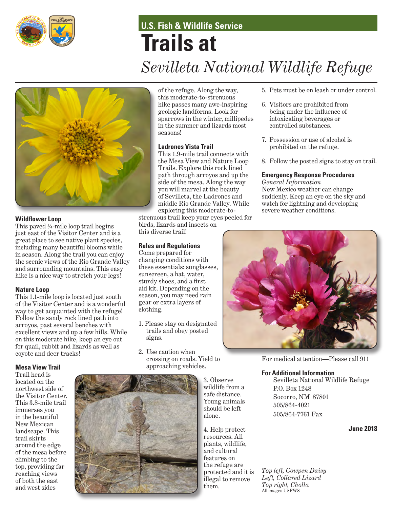

# **U.S. Fish & Wildlife Service Trails at** *Sevilleta National Wildlife Refuge*



# **Wildflower Loop**

This paved  $\frac{1}{4}$ -mile loop trail begins just east of the Visitor Center and is a great place to see native plant species, including many beautiful blooms while in season. Along the trail you can enjoy the scenic views of the Rio Grande Valley and surrounding mountains. This easy hike is a nice way to stretch your legs!

#### **Nature Loop**

This 1.1-mile loop is located just south of the Visitor Center and is a wonderful way to get acquainted with the refuge! Follow the sandy rock lined path into arroyos, past several benches with excellent views and up a few hills. While on this moderate hike, keep an eye out for quail, rabbit and lizards as well as coyote and deer tracks!

#### **Mesa View Trail**

Trail head is located on the northwest side of the Visitor Center. This 3.8-mile trail immerses you in the beautiful New Mexican landscape. This trail skirts around the edge of the mesa before climbing to the top, providing far reaching views of both the east and west sides

of the refuge. Along the way, this moderate-to-strenuous hike passes many awe-inspiring geologic landforms. Look for sparrows in the winter, millipedes in the summer and lizards most seasons!

### **Ladrones Vista Trail**

This 1.9-mile trail connects with the Mesa View and Nature Loop Trails. Explore this rock lined path through arroyos and up the side of the mesa. Along the way you will marvel at the beauty of Sevilleta, the Ladrones and middle Rio Grande Valley. While exploring this moderate-to-

strenuous trail keep your eyes peeled for birds, lizards and insects on this diverse trail!

# **Rules and Regulations**

Come prepared for changing conditions with these essentials: sunglasses, sunscreen, a hat, water, sturdy shoes, and a first aid kit. Depending on the season, you may need rain gear or extra layers of clothing.

- 1. Please stay on designated trails and obey posted signs.
- 2. Use caution when crossing on roads. Yield to approaching vehicles.



4. Help protect resources. All plants, wildlife, and cultural features on the refuge are protected and it is illegal to remove them.

- 5. Pets must be on leash or under control.
- 6. Visitors are prohibited from being under the influence of intoxicating beverages or controlled substances.
- 7. Possession or use of alcohol is prohibited on the refuge.
- 8. Follow the posted signs to stay on trail.

#### **Emergency Response Procedures**

*General Information* New Mexico weather can change suddenly. Keep an eye on the sky and watch for lightning and developing severe weather conditions.



For medical attention—Please call 911

#### **For Additional Information**

Sevilleta National Wildlife Refuge P.O. Box 1248 Socorro, NM 87801 505/864-4021 505/864-7761 Fax

**June 2018**

*Top left, Cowpen Daisy Left, Collared Lizard Top right, Cholla* All images USFWS